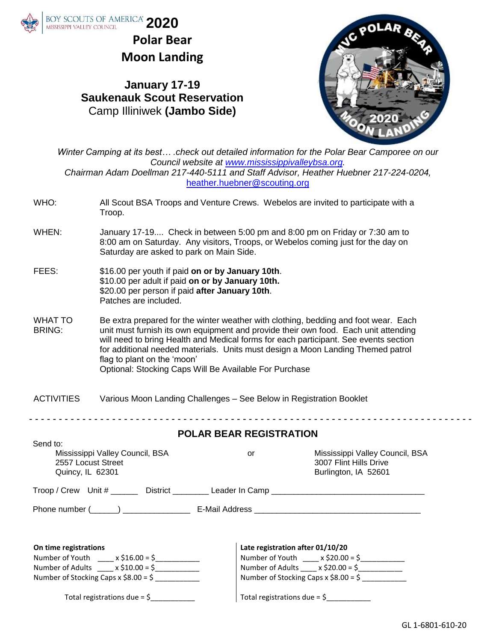

Send to:

**Polar Bear Moon Landing**

### **January 17-19 Saukenauk Scout Reservation** Camp Illiniwek **(Jambo Side)**



*Winter Camping at its best… .check out detailed information for the Polar Bear Camporee on our Council website at [www.mississippivalleybsa.org.](http://www.mississippivalleybsa.org/) Chairman Adam Doellman 217-440-5111 and Staff Advisor, Heather Huebner 217-224-0204,*  [heather.huebner@scouting.org](mailto:heather.huebner@scouting.org)

- WHO: All Scout BSA Troops and Venture Crews. Webelos are invited to participate with a Troop.
- WHEN: January 17-19.... Check in between 5:00 pm and 8:00 pm on Friday or 7:30 am to 8:00 am on Saturday. Any visitors, Troops, or Webelos coming just for the day on Saturday are asked to park on Main Side.
- FEES: \$16.00 per youth if paid **on or by January 10th**. \$10.00 per adult if paid **on or by January 10th.** \$20.00 per person if paid **after January 10th**. Patches are included.
- WHAT TO BRING: Be extra prepared for the winter weather with clothing, bedding and foot wear. Each unit must furnish its own equipment and provide their own food. Each unit attending will need to bring Health and Medical forms for each participant. See events section for additional needed materials. Units must design a Moon Landing Themed patrol flag to plant on the 'moon' Optional: Stocking Caps Will Be Available For Purchase
- ACTIVITIES Various Moon Landing Challenges See Below in Registration Booklet

- - - - - - - - - - - - - - - - - - - - - - - - - - - - - - - - - - - - - - - - - - - - - - - - - - - - - - - - - - - - - - - - - - - - - - - - - - -

#### **POLAR BEAR REGISTRATION**

| Send to:<br>Mississippi Valley Council, BSA<br>2557 Locust Street<br>Quincy, IL 62301 | or                                      | Mississippi Valley Council, BSA<br>3007 Flint Hills Drive<br>Burlington, IA 52601 |
|---------------------------------------------------------------------------------------|-----------------------------------------|-----------------------------------------------------------------------------------|
| Troop / Crew Unit # ______ District ________ Leader In Camp _____________________     |                                         |                                                                                   |
|                                                                                       |                                         |                                                                                   |
|                                                                                       |                                         |                                                                                   |
| On time registrations                                                                 | Late registration after 01/10/20        |                                                                                   |
| Number of Youth $x \le 16.00 = 5$                                                     |                                         | Number of Youth $x \le 20.00 = 5$                                                 |
| Number of Adults $x = x$ \$10.00 = \$                                                 |                                         | Number of Adults $\_\_\ x$ \$20.00 = \$                                           |
| Number of Stocking Caps $x$ \$8.00 = \$                                               |                                         | Number of Stocking Caps $x$ \$8.00 = \$                                           |
| Total registrations due = $\frac{6}{7}$                                               | Total registrations due = $\frac{6}{2}$ |                                                                                   |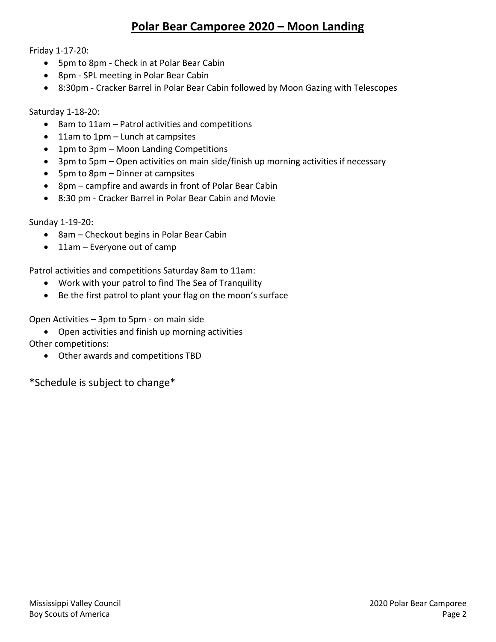### **Polar Bear Camporee 2020 – Moon Landing**

Friday 1-17-20:

- 5pm to 8pm Check in at Polar Bear Cabin
- 8pm SPL meeting in Polar Bear Cabin
- 8:30pm Cracker Barrel in Polar Bear Cabin followed by Moon Gazing with Telescopes

Saturday 1-18-20:

- 8am to 11am Patrol activities and competitions
- 11am to 1pm Lunch at campsites
- 1pm to 3pm Moon Landing Competitions
- 3pm to 5pm Open activities on main side/finish up morning activities if necessary
- 5pm to 8pm Dinner at campsites
- 8pm campfire and awards in front of Polar Bear Cabin
- 8:30 pm Cracker Barrel in Polar Bear Cabin and Movie

Sunday 1-19-20:

- 8am Checkout begins in Polar Bear Cabin
- 11am Everyone out of camp

Patrol activities and competitions Saturday 8am to 11am:

- Work with your patrol to find The Sea of Tranquility
- Be the first patrol to plant your flag on the moon's surface

Open Activities – 3pm to 5pm - on main side

• Open activities and finish up morning activities

Other competitions:

• Other awards and competitions TBD

\*Schedule is subject to change\*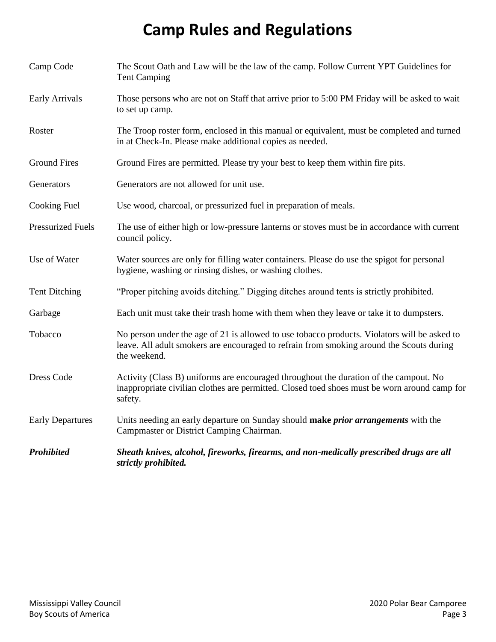### **Camp Rules and Regulations**

| Camp Code                | The Scout Oath and Law will be the law of the camp. Follow Current YPT Guidelines for<br><b>Tent Camping</b>                                                                                             |  |
|--------------------------|----------------------------------------------------------------------------------------------------------------------------------------------------------------------------------------------------------|--|
| <b>Early Arrivals</b>    | Those persons who are not on Staff that arrive prior to 5:00 PM Friday will be asked to wait<br>to set up camp.                                                                                          |  |
| Roster                   | The Troop roster form, enclosed in this manual or equivalent, must be completed and turned<br>in at Check-In. Please make additional copies as needed.                                                   |  |
| <b>Ground Fires</b>      | Ground Fires are permitted. Please try your best to keep them within fire pits.                                                                                                                          |  |
| Generators               | Generators are not allowed for unit use.                                                                                                                                                                 |  |
| <b>Cooking Fuel</b>      | Use wood, charcoal, or pressurized fuel in preparation of meals.                                                                                                                                         |  |
| <b>Pressurized Fuels</b> | The use of either high or low-pressure lanterns or stoves must be in accordance with current<br>council policy.                                                                                          |  |
| Use of Water             | Water sources are only for filling water containers. Please do use the spigot for personal<br>hygiene, washing or rinsing dishes, or washing clothes.                                                    |  |
| <b>Tent Ditching</b>     | "Proper pitching avoids ditching." Digging ditches around tents is strictly prohibited.                                                                                                                  |  |
| Garbage                  | Each unit must take their trash home with them when they leave or take it to dumpsters.                                                                                                                  |  |
| Tobacco                  | No person under the age of 21 is allowed to use tobacco products. Violators will be asked to<br>leave. All adult smokers are encouraged to refrain from smoking around the Scouts during<br>the weekend. |  |
| <b>Dress Code</b>        | Activity (Class B) uniforms are encouraged throughout the duration of the campout. No<br>inappropriate civilian clothes are permitted. Closed toed shoes must be worn around camp for<br>safety.         |  |
| <b>Early Departures</b>  | Units needing an early departure on Sunday should make prior arrangements with the<br>Campmaster or District Camping Chairman.                                                                           |  |
| <b>Prohibited</b>        | Sheath knives, alcohol, fireworks, firearms, and non-medically prescribed drugs are all<br>strictly prohibited.                                                                                          |  |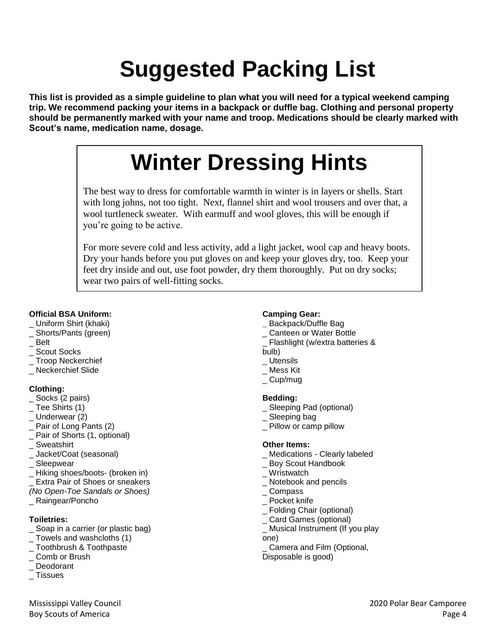# **Suggested Packing List**

**This list is provided as a simple guideline to plan what you will need for a typical weekend camping trip. We recommend packing your items in a backpack or duffle bag. Clothing and personal property should be permanently marked with your name and troop. Medications should be clearly marked with Scout's name, medication name, dosage.**

## **Winter Dressing Hints**

The best way to dress for comfortable warmth in winter is in layers or shells. Start with long johns, not too tight. Next, flannel shirt and wool trousers and over that, a wool turtleneck sweater. With earmuff and wool gloves, this will be enough if you're going to be active.

For more severe cold and less activity, add a light jacket, wool cap and heavy boots. Dry your hands before you put gloves on and keep your gloves dry, too. Keep your feet dry inside and out, use foot powder, dry them thoroughly. Put on dry socks; wear two pairs of well-fitting socks.

#### **Official BSA Uniform:**

- \_ Uniform Shirt (khaki)
- \_ Shorts/Pants (green)
- \_ Belt
- \_ Scout Socks
- \_ Troop Neckerchief
- \_ Neckerchief Slide

#### **Clothing:**

- \_ Socks (2 pairs)
- \_ Tee Shirts (1)
- Underwear (2)
- \_ Pair of Long Pants (2)
- \_ Pair of Shorts (1, optional)
- \_ Sweatshirt
- \_ Jacket/Coat (seasonal)
- \_ Sleepwear
- \_ Hiking shoes/boots- (broken in)
- Extra Pair of Shoes or sneakers
- *(No Open-Toe Sandals or Shoes)*
- \_ Raingear/Poncho

#### **Toiletries:**

- \_ Soap in a carrier (or plastic bag)
- \_ Towels and washcloths (1)
- \_ Toothbrush & Toothpaste
- \_ Comb or Brush
- \_ Deodorant
- **Tissues**

#### **Camping Gear:**

- **\_** Backpack/Duffle Bag
- \_ Canteen or Water Bottle
- \_ Flashlight (w/extra batteries & bulb)
- \_ Utensils
- \_ Mess Kit
- Cup/mug

#### **Bedding:**

- \_ Sleeping Pad (optional)
- Sleeping bag
- \_ Pillow or camp pillow

#### **Other Items:**

- \_ Medications Clearly labeled
- \_ Boy Scout Handbook
- Wristwatch
- \_ Notebook and pencils
- \_ Compass
- \_ Pocket knife
- \_ Folding Chair (optional)
- \_ Card Games (optional)
- \_ Musical Instrument (If you play one)
- Camera and Film (Optional, Disposable is good)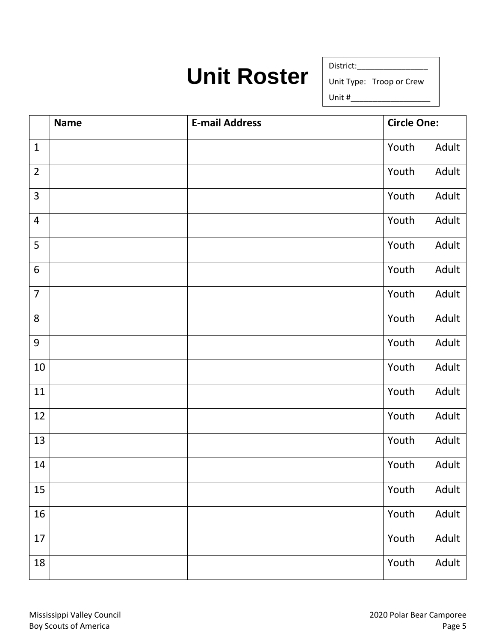### **Unit Roster**

District:\_\_\_\_\_\_\_\_\_\_\_\_\_\_\_\_

Unit Type: Troop or Crew

Unit  $#_$ 

|                | <b>Name</b> | <b>E-mail Address</b> | <b>Circle One:</b> |
|----------------|-------------|-----------------------|--------------------|
| $\mathbf{1}$   |             |                       | Adult<br>Youth     |
| $\overline{2}$ |             |                       | Adult<br>Youth     |
| $\overline{3}$ |             |                       | Adult<br>Youth     |
| 4              |             |                       | Adult<br>Youth     |
| 5              |             |                       | Adult<br>Youth     |
| $6\,$          |             |                       | Adult<br>Youth     |
| $\overline{7}$ |             |                       | Youth<br>Adult     |
| 8              |             |                       | Youth<br>Adult     |
| 9              |             |                       | Adult<br>Youth     |
| 10             |             |                       | Adult<br>Youth     |
| $11\,$         |             |                       | Adult<br>Youth     |
| 12             |             |                       | Youth<br>Adult     |
| 13             |             |                       | Youth<br>Adult     |
| 14             |             |                       | Adult<br>Youth     |
| 15             |             |                       | Adult<br>Youth     |
| 16             |             |                       | Adult<br>Youth     |
| $17\,$         |             |                       | Adult<br>Youth     |
| 18             |             |                       | Adult<br>Youth     |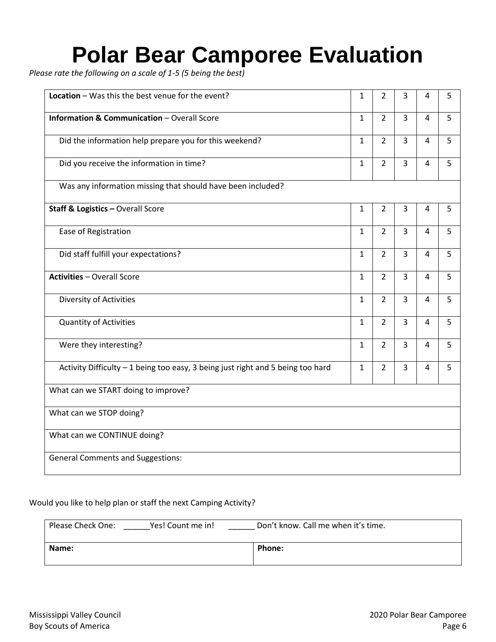# **Polar Bear Camporee Evaluation**

*Please rate the following on a scale of 1-5 (5 being the best)* 

| Location - Was this the best venue for the event?                               | $\mathbf{1}$ | $\overline{2}$ | 3              | 4 | 5 |
|---------------------------------------------------------------------------------|--------------|----------------|----------------|---|---|
| <b>Information &amp; Communication - Overall Score</b>                          | $\mathbf{1}$ | $\overline{2}$ | $\overline{3}$ | 4 | 5 |
| Did the information help prepare you for this weekend?                          | $\mathbf{1}$ | $\overline{2}$ | $\overline{3}$ | 4 | 5 |
| Did you receive the information in time?                                        | $\mathbf{1}$ | $\overline{2}$ | 3              | 4 | 5 |
| Was any information missing that should have been included?                     |              |                |                |   |   |
| <b>Staff &amp; Logistics - Overall Score</b>                                    | $\mathbf{1}$ | $\overline{2}$ | 3              | 4 | 5 |
| Ease of Registration                                                            | $\mathbf{1}$ | $\overline{2}$ | $\overline{3}$ | 4 | 5 |
| Did staff fulfill your expectations?                                            | $\mathbf{1}$ | $\overline{2}$ | $\overline{3}$ | 4 | 5 |
| <b>Activities - Overall Score</b>                                               | $\mathbf{1}$ | $\overline{2}$ | $\mathbf{3}$   | 4 | 5 |
| Diversity of Activities                                                         | $\mathbf{1}$ | $\overline{2}$ | $\overline{3}$ | 4 | 5 |
| <b>Quantity of Activities</b>                                                   | $\mathbf{1}$ | $\overline{2}$ | $\overline{3}$ | 4 | 5 |
| Were they interesting?                                                          | $\mathbf{1}$ | $\overline{2}$ | 3              | 4 | 5 |
| Activity Difficulty - 1 being too easy, 3 being just right and 5 being too hard | $\mathbf{1}$ | $\overline{2}$ | $\overline{3}$ | 4 | 5 |
| What can we START doing to improve?                                             |              |                |                |   |   |
| What can we STOP doing?                                                         |              |                |                |   |   |
| What can we CONTINUE doing?                                                     |              |                |                |   |   |
| <b>General Comments and Suggestions:</b>                                        |              |                |                |   |   |

#### Would you like to help plan or staff the next Camping Activity?

| Please Check One:<br>Yes! Count me in! | Don't know. Call me when it's time. |  |
|----------------------------------------|-------------------------------------|--|
| Name:                                  | Phone:                              |  |